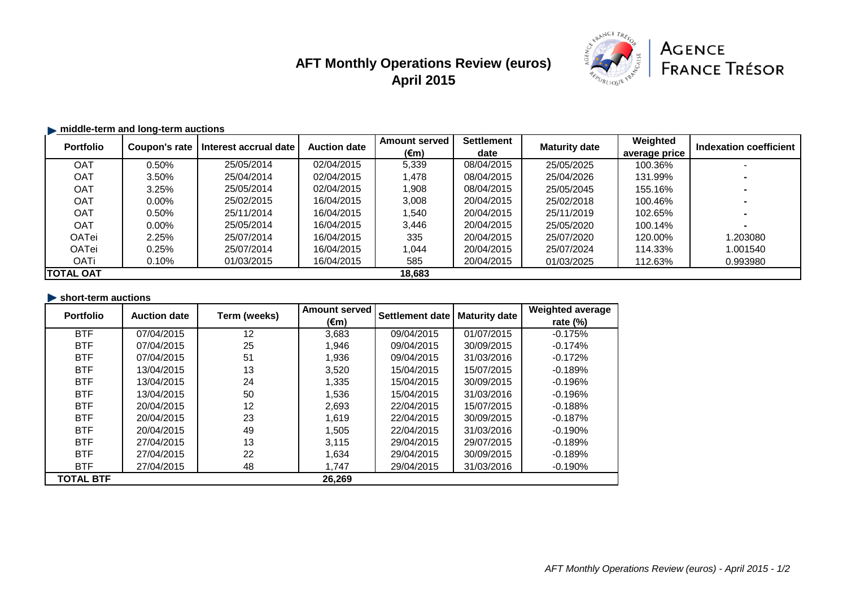# **AFT Monthly Operations Review (euros) April 2015**



## **middle-term and long-term auctions**

| <b>Portfolio</b> | Coupon's rate | Interest accrual date | <b>Auction date</b> | <b>Amount served</b> | <b>Settlement</b> | <b>Maturity date</b> | Weighted      | Indexation coefficient |
|------------------|---------------|-----------------------|---------------------|----------------------|-------------------|----------------------|---------------|------------------------|
|                  |               |                       |                     | $(\epsilon m)$       | date              |                      | average price |                        |
| OAT              | $0.50\%$      | 25/05/2014            | 02/04/2015          | 5,339                | 08/04/2015        | 25/05/2025           | 100.36%       |                        |
| <b>OAT</b>       | 3.50%         | 25/04/2014            | 02/04/2015          | 1,478                | 08/04/2015        | 25/04/2026           | 131.99%       |                        |
| OAT              | 3.25%         | 25/05/2014            | 02/04/2015          | 1,908                | 08/04/2015        | 25/05/2045           | 155.16%       |                        |
| OAT              | $0.00\%$      | 25/02/2015            | 16/04/2015          | 3,008                | 20/04/2015        | 25/02/2018           | 100.46%       |                        |
| OAT              | $0.50\%$      | 25/11/2014            | 16/04/2015          | 1.540                | 20/04/2015        | 25/11/2019           | 102.65%       |                        |
| OAT              | $0.00\%$      | 25/05/2014            | 16/04/2015          | 3,446                | 20/04/2015        | 25/05/2020           | 100.14%       |                        |
| OATei            | 2.25%         | 25/07/2014            | 16/04/2015          | 335                  | 20/04/2015        | 25/07/2020           | 120.00%       | 1.203080               |
| <b>OATei</b>     | 0.25%         | 25/07/2014            | 16/04/2015          | 1.044                | 20/04/2015        | 25/07/2024           | 114.33%       | 1.001540               |
| <b>OATi</b>      | $0.10\%$      | 01/03/2015            | 16/04/2015          | 585                  | 20/04/2015        | 01/03/2025           | 112.63%       | 0.993980               |
| TOTAL OAT        |               |                       |                     | 18,683               |                   |                      |               |                        |

### **short-term auctions**

| <b>Portfolio</b> | <b>Auction date</b> | Term (weeks) | <b>Amount served</b> | <b>Settlement date</b> | <b>Maturity date</b> | <b>Weighted average</b> |
|------------------|---------------------|--------------|----------------------|------------------------|----------------------|-------------------------|
|                  |                     |              | $(\epsilon m)$       |                        |                      | rate $(\%)$             |
| <b>BTF</b>       | 07/04/2015          | 12           | 3,683                | 09/04/2015             | 01/07/2015           | $-0.175%$               |
| <b>BTF</b>       | 07/04/2015          | 25           | 1,946                | 09/04/2015             | 30/09/2015           | $-0.174%$               |
| <b>BTF</b>       | 07/04/2015          | 51           | 1,936                | 09/04/2015             | 31/03/2016           | $-0.172%$               |
| <b>BTF</b>       | 13/04/2015          | 13           | 3,520                | 15/04/2015             | 15/07/2015           | $-0.189%$               |
| <b>BTF</b>       | 13/04/2015          | 24           | 1,335                | 15/04/2015             | 30/09/2015           | $-0.196%$               |
| <b>BTF</b>       | 13/04/2015          | 50           | 1,536                | 15/04/2015             | 31/03/2016           | $-0.196%$               |
| <b>BTF</b>       | 20/04/2015          | 12           | 2,693                | 22/04/2015             | 15/07/2015           | $-0.188%$               |
| <b>BTF</b>       | 20/04/2015          | 23           | 1,619                | 22/04/2015             | 30/09/2015           | $-0.187%$               |
| <b>BTF</b>       | 20/04/2015          | 49           | 1,505                | 22/04/2015             | 31/03/2016           | $-0.190%$               |
| <b>BTF</b>       | 27/04/2015          | 13           | 3,115                | 29/04/2015             | 29/07/2015           | $-0.189%$               |
| <b>BTF</b>       | 27/04/2015          | 22           | 1,634                | 29/04/2015             | 30/09/2015           | $-0.189%$               |
| <b>BTF</b>       | 27/04/2015          | 48           | 1,747                | 29/04/2015             | 31/03/2016           | $-0.190%$               |
| <b>TOTAL BTF</b> |                     |              | 26,269               |                        |                      |                         |